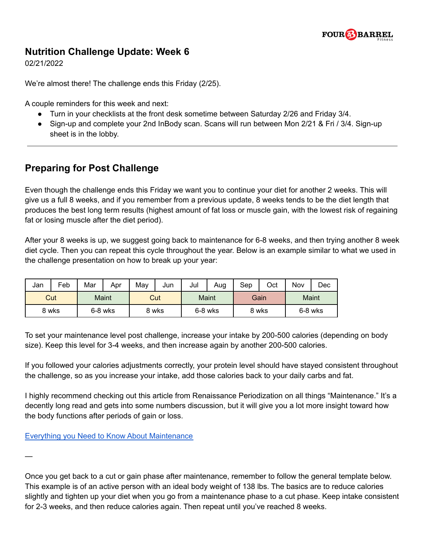

## **Nutrition Challenge Update: Week 6**

02/21/2022

We're almost there! The challenge ends this Friday (2/25).

A couple reminders for this week and next:

- Turn in your checklists at the front desk sometime between Saturday 2/26 and Friday 3/4.
- Sign-up and complete your 2nd InBody scan. Scans will run between Mon 2/21 & Fri / 3/4. Sign-up sheet is in the lobby.

## **Preparing for Post Challenge**

Even though the challenge ends this Friday we want you to continue your diet for another 2 weeks. This will give us a full 8 weeks, and if you remember from a previous update, 8 weeks tends to be the diet length that produces the best long term results (highest amount of fat loss or muscle gain, with the lowest risk of regaining fat or losing muscle after the diet period).

After your 8 weeks is up, we suggest going back to maintenance for 6-8 weeks, and then trying another 8 week diet cycle. Then you can repeat this cycle throughout the year. Below is an example similar to what we used in the challenge presentation on how to break up your year:

| Jan   | Feb | Mar     | Apr | May   | Jun | Jul     | Aug | Sep   | Oct | Nov     | Dec |
|-------|-----|---------|-----|-------|-----|---------|-----|-------|-----|---------|-----|
| Cut   |     | Maint   |     | Cut   |     | Maint   |     | Gain  |     | Maint   |     |
| 8 wks |     | 6-8 wks |     | 8 wks |     | 6-8 wks |     | 8 wks |     | 6-8 wks |     |

To set your maintenance level post challenge, increase your intake by 200-500 calories (depending on body size). Keep this level for 3-4 weeks, and then increase again by another 200-500 calories.

If you followed your calories adjustments correctly, your protein level should have stayed consistent throughout the challenge, so as you increase your intake, add those calories back to your daily carbs and fat.

I highly recommend checking out this article from Renaissance Periodization on all things "Maintenance." It's a decently long read and gets into some numbers discussion, but it will give you a lot more insight toward how the body functions after periods of gain or loss.

Everything you Need to Know About [Maintenance](https://renaissanceperiodization.com/everything-need-know-maintenance/)

—

Once you get back to a cut or gain phase after maintenance, remember to follow the general template below. This example is of an active person with an ideal body weight of 138 lbs. The basics are to reduce calories slightly and tighten up your diet when you go from a maintenance phase to a cut phase. Keep intake consistent for 2-3 weeks, and then reduce calories again. Then repeat until you've reached 8 weeks.